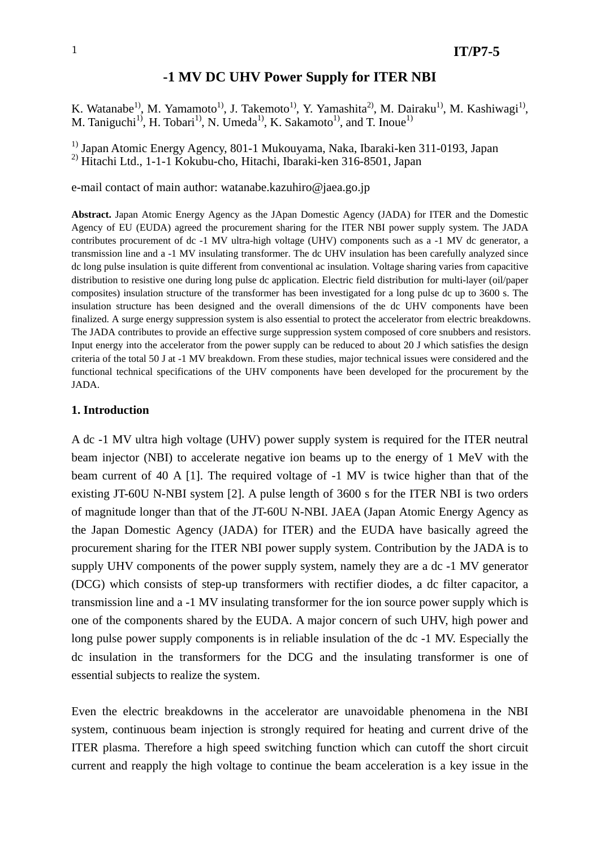# **-1 MV DC UHV Power Supply for ITER NBI**

K. Watanabe<sup>1)</sup>, M. Yamamoto<sup>1)</sup>, J. Takemoto<sup>1)</sup>, Y. Yamashita<sup>2)</sup>, M. Dairaku<sup>1)</sup>, M. Kashiwagi<sup>1)</sup>, M. Taniguchi<sup>1)</sup>, H. Tobari<sup>1)</sup>, N. Umeda<sup>1</sup>, K. Sakamoto<sup>1</sup><sup>)</sup>, and T. Inoue<sup>1</sup>

<sup>1)</sup> Japan Atomic Energy Agency, 801-1 Mukouyama, Naka, Ibaraki-ken 311-0193, Japan <sup>2)</sup> Hitachi Ltd., 1-1-1 Kokubu-cho, Hitachi, Ibaraki-ken 316-8501, Japan

e-mail contact of main author: watanabe.kazuhiro@jaea.go.jp

**Abstract.** Japan Atomic Energy Agency as the JApan Domestic Agency (JADA) for ITER and the Domestic Agency of EU (EUDA) agreed the procurement sharing for the ITER NBI power supply system. The JADA contributes procurement of dc -1 MV ultra-high voltage (UHV) components such as a -1 MV dc generator, a transmission line and a -1 MV insulating transformer. The dc UHV insulation has been carefully analyzed since dc long pulse insulation is quite different from conventional ac insulation. Voltage sharing varies from capacitive distribution to resistive one during long pulse dc application. Electric field distribution for multi-layer (oil/paper composites) insulation structure of the transformer has been investigated for a long pulse dc up to 3600 s. The insulation structure has been designed and the overall dimensions of the dc UHV components have been finalized. A surge energy suppression system is also essential to protect the accelerator from electric breakdowns. The JADA contributes to provide an effective surge suppression system composed of core snubbers and resistors. Input energy into the accelerator from the power supply can be reduced to about 20 J which satisfies the design criteria of the total 50 J at -1 MV breakdown. From these studies, major technical issues were considered and the functional technical specifications of the UHV components have been developed for the procurement by the JADA.

#### **1. Introduction**

A dc -1 MV ultra high voltage (UHV) power supply system is required for the ITER neutral beam injector (NBI) to accelerate negative ion beams up to the energy of 1 MeV with the beam current of 40 A [1]. The required voltage of -1 MV is twice higher than that of the existing JT-60U N-NBI system [2]. A pulse length of 3600 s for the ITER NBI is two orders of magnitude longer than that of the JT-60U N-NBI. JAEA (Japan Atomic Energy Agency as the Japan Domestic Agency (JADA) for ITER) and the EUDA have basically agreed the procurement sharing for the ITER NBI power supply system. Contribution by the JADA is to supply UHV components of the power supply system, namely they are a dc -1 MV generator (DCG) which consists of step-up transformers with rectifier diodes, a dc filter capacitor, a transmission line and a -1 MV insulating transformer for the ion source power supply which is one of the components shared by the EUDA. A major concern of such UHV, high power and long pulse power supply components is in reliable insulation of the dc -1 MV. Especially the dc insulation in the transformers for the DCG and the insulating transformer is one of essential subjects to realize the system.

Even the electric breakdowns in the accelerator are unavoidable phenomena in the NBI system, continuous beam injection is strongly required for heating and current drive of the ITER plasma. Therefore a high speed switching function which can cutoff the short circuit current and reapply the high voltage to continue the beam acceleration is a key issue in the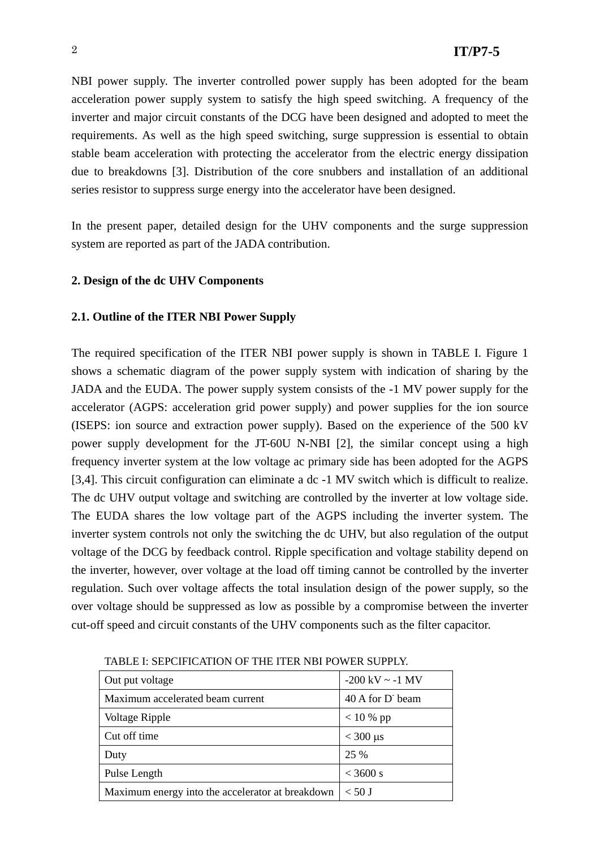NBI power supply. The inverter controlled power supply has been adopted for the beam acceleration power supply system to satisfy the high speed switching. A frequency of the inverter and major circuit constants of the DCG have been designed and adopted to meet the requirements. As well as the high speed switching, surge suppression is essential to obtain stable beam acceleration with protecting the accelerator from the electric energy dissipation due to breakdowns [3]. Distribution of the core snubbers and installation of an additional series resistor to suppress surge energy into the accelerator have been designed.

In the present paper, detailed design for the UHV components and the surge suppression system are reported as part of the JADA contribution.

### **2. Design of the dc UHV Components**

### **2.1. Outline of the ITER NBI Power Supply**

The required specification of the ITER NBI power supply is shown in TABLE I. Figure 1 shows a schematic diagram of the power supply system with indication of sharing by the JADA and the EUDA. The power supply system consists of the -1 MV power supply for the accelerator (AGPS: acceleration grid power supply) and power supplies for the ion source (ISEPS: ion source and extraction power supply). Based on the experience of the 500 kV power supply development for the JT-60U N-NBI [2], the similar concept using a high frequency inverter system at the low voltage ac primary side has been adopted for the AGPS [3,4]. This circuit configuration can eliminate a dc -1 MV switch which is difficult to realize. The dc UHV output voltage and switching are controlled by the inverter at low voltage side. The EUDA shares the low voltage part of the AGPS including the inverter system. The inverter system controls not only the switching the dc UHV, but also regulation of the output voltage of the DCG by feedback control. Ripple specification and voltage stability depend on the inverter, however, over voltage at the load off timing cannot be controlled by the inverter regulation. Such over voltage affects the total insulation design of the power supply, so the over voltage should be suppressed as low as possible by a compromise between the inverter cut-off speed and circuit constants of the UHV components such as the filter capacitor.

| Out put voltage                                  | $-200 \text{ kV} \sim -1 \text{ MV}$ |
|--------------------------------------------------|--------------------------------------|
| Maximum accelerated beam current                 | 40 A for D beam                      |
| Voltage Ripple                                   | $< 10 %$ pp                          |
| Cut off time                                     | $<$ 300 $\mu$ s                      |
| Duty                                             | 25 %                                 |
| Pulse Length                                     | $<$ 3600 s                           |
| Maximum energy into the accelerator at breakdown | $< 50$ J                             |

TABLE I: SEPCIFICATION OF THE ITER NBI POWER SUPPLY.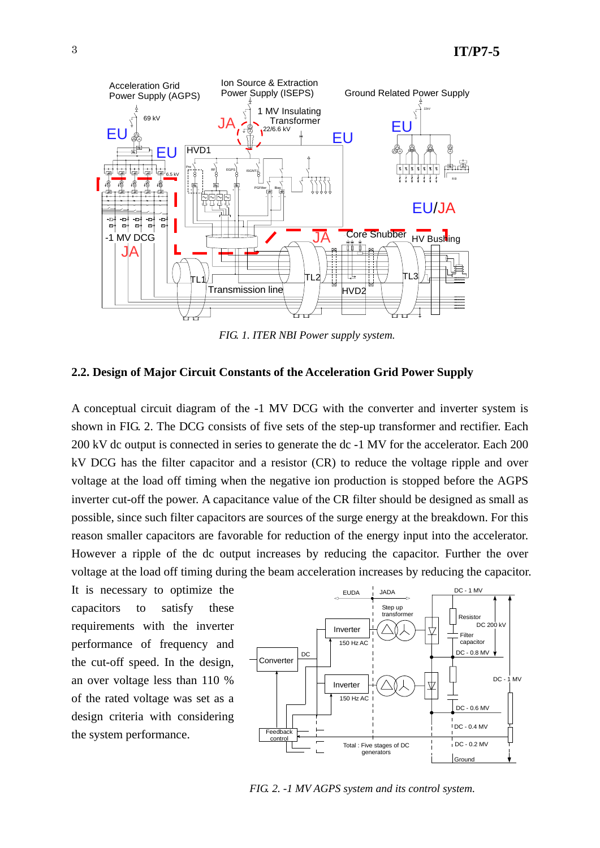

*FIG. 1. ITER NBI Power supply system.*

### **2.2. Design of Major Circuit Constants of the Acceleration Grid Power Supply**

A conceptual circuit diagram of the -1 MV DCG with the converter and inverter system is shown in FIG. 2. The DCG consists of five sets of the step-up transformer and rectifier. Each 200 kV dc output is connected in series to generate the dc -1 MV for the accelerator. Each 200 kV DCG has the filter capacitor and a resistor (CR) to reduce the voltage ripple and over voltage at the load off timing when the negative ion production is stopped before the AGPS inverter cut-off the power. A capacitance value of the CR filter should be designed as small as possible, since such filter capacitors are sources of the surge energy at the breakdown. For this reason smaller capacitors are favorable for reduction of the energy input into the accelerator. However a ripple of the dc output increases by reducing the capacitor. Further the over voltage at the load off timing during the beam acceleration increases by reducing the capacitor.

It is necessary to optimize the capacitors to satisfy these requirements with the inverter performance of frequency and the cut-off speed. In the design, an over voltage less than 110 % of the rated voltage was set as a design criteria with considering the system performance.



*FIG. 2. -1 MV AGPS system and its control system.*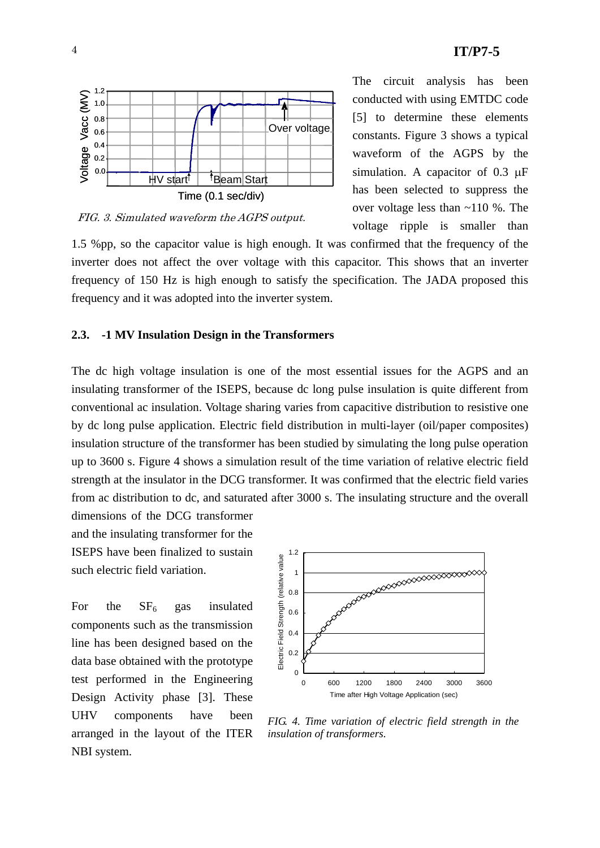

FIG. 3. Simulated waveform the AGPS output.

The circuit analysis has been conducted with using EMTDC code [5] to determine these elements constants. Figure 3 shows a typical waveform of the AGPS by the simulation. A capacitor of 0.3 μF has been selected to suppress the over voltage less than ~110 %. The voltage ripple is smaller than

1.5 %pp, so the capacitor value is high enough. It was confirmed that the frequency of the inverter does not affect the over voltage with this capacitor. This shows that an inverter frequency of 150 Hz is high enough to satisfy the specification. The JADA proposed this frequency and it was adopted into the inverter system.

#### **2.3. -1 MV Insulation Design in the Transformers**

The dc high voltage insulation is one of the most essential issues for the AGPS and an insulating transformer of the ISEPS, because dc long pulse insulation is quite different from conventional ac insulation. Voltage sharing varies from capacitive distribution to resistive one by dc long pulse application. Electric field distribution in multi-layer (oil/paper composites) insulation structure of the transformer has been studied by simulating the long pulse operation up to 3600 s. Figure 4 shows a simulation result of the time variation of relative electric field strength at the insulator in the DCG transformer. It was confirmed that the electric field varies from ac distribution to dc, and saturated after 3000 s. The insulating structure and the overall

dimensions of the DCG transformer and the insulating transformer for the ISEPS have been finalized to sustain such electric field variation.

For the  $SF<sub>6</sub>$  gas insulated components such as the transmission line has been designed based on the data base obtained with the prototype test performed in the Engineering Design Activity phase [3]. These UHV components have been arranged in the layout of the ITER NBI system.



*FIG. 4. Time variation of electric field strength in the insulation of transformers.*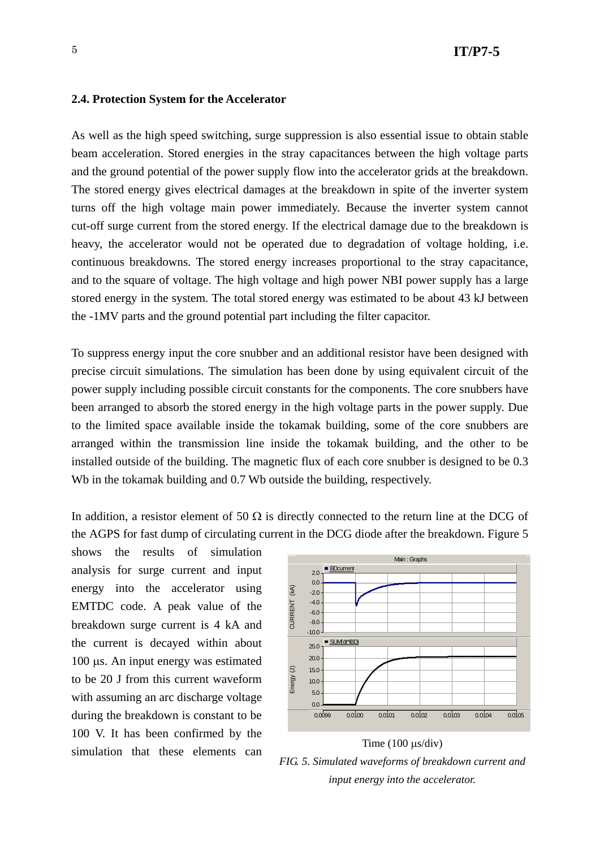#### **2.4. Protection System for the Accelerator**

As well as the high speed switching, surge suppression is also essential issue to obtain stable beam acceleration. Stored energies in the stray capacitances between the high voltage parts and the ground potential of the power supply flow into the accelerator grids at the breakdown. The stored energy gives electrical damages at the breakdown in spite of the inverter system turns off the high voltage main power immediately. Because the inverter system cannot cut-off surge current from the stored energy. If the electrical damage due to the breakdown is heavy, the accelerator would not be operated due to degradation of voltage holding, i.e. continuous breakdowns. The stored energy increases proportional to the stray capacitance, and to the square of voltage. The high voltage and high power NBI power supply has a large stored energy in the system. The total stored energy was estimated to be about 43 kJ between the -1MV parts and the ground potential part including the filter capacitor.

To suppress energy input the core snubber and an additional resistor have been designed with precise circuit simulations. The simulation has been done by using equivalent circuit of the power supply including possible circuit constants for the components. The core snubbers have been arranged to absorb the stored energy in the high voltage parts in the power supply. Due to the limited space available inside the tokamak building, some of the core snubbers are arranged within the transmission line inside the tokamak building, and the other to be installed outside of the building. The magnetic flux of each core snubber is designed to be 0.3 Wh in the tokamak building and 0.7 Wb outside the building, respectively.

In addition, a resistor element of 50  $\Omega$  is directly connected to the return line at the DCG of the AGPS for fast dump of circulating current in the DCG diode after the breakdown. Figure 5

shows the results of simulation analysis for surge current and input energy into the accelerator using EMTDC code. A peak value of the breakdown surge current is 4 kA and the current is decayed within about 100 μs. An input energy was estimated to be 20 J from this current waveform with assuming an arc discharge voltage during the breakdown is constant to be 100 V. It has been confirmed by the simulation that these elements can





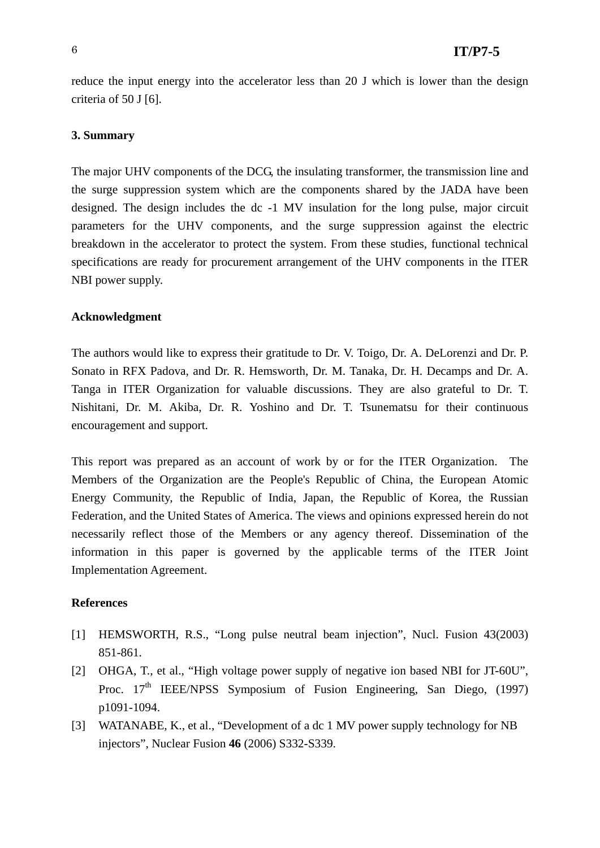reduce the input energy into the accelerator less than 20 J which is lower than the design criteria of 50 J [6].

## **3. Summary**

The major UHV components of the DCG, the insulating transformer, the transmission line and the surge suppression system which are the components shared by the JADA have been designed. The design includes the dc -1 MV insulation for the long pulse, major circuit parameters for the UHV components, and the surge suppression against the electric breakdown in the accelerator to protect the system. From these studies, functional technical specifications are ready for procurement arrangement of the UHV components in the ITER NBI power supply.

### **Acknowledgment**

The authors would like to express their gratitude to Dr. V. Toigo, Dr. A. DeLorenzi and Dr. P. Sonato in RFX Padova, and Dr. R. Hemsworth, Dr. M. Tanaka, Dr. H. Decamps and Dr. A. Tanga in ITER Organization for valuable discussions. They are also grateful to Dr. T. Nishitani, Dr. M. Akiba, Dr. R. Yoshino and Dr. T. Tsunematsu for their continuous encouragement and support.

This report was prepared as an account of work by or for the ITER Organization. The Members of the Organization are the People's Republic of China, the European Atomic Energy Community, the Republic of India, Japan, the Republic of Korea, the Russian Federation, and the United States of America. The views and opinions expressed herein do not necessarily reflect those of the Members or any agency thereof. Dissemination of the information in this paper is governed by the applicable terms of the ITER Joint Implementation Agreement.

### **References**

- [1] HEMSWORTH, R.S., "Long pulse neutral beam injection", Nucl. Fusion 43(2003) 851-861.
- [2] OHGA, T., et al., "High voltage power supply of negative ion based NBI for JT-60U", Proc. 17<sup>th</sup> IEEE/NPSS Symposium of Fusion Engineering, San Diego, (1997) p1091-1094.
- [3] WATANABE, K., et al., "Development of a dc 1 MV power supply technology for NB injectors", Nuclear Fusion **46** (2006) S332-S339.